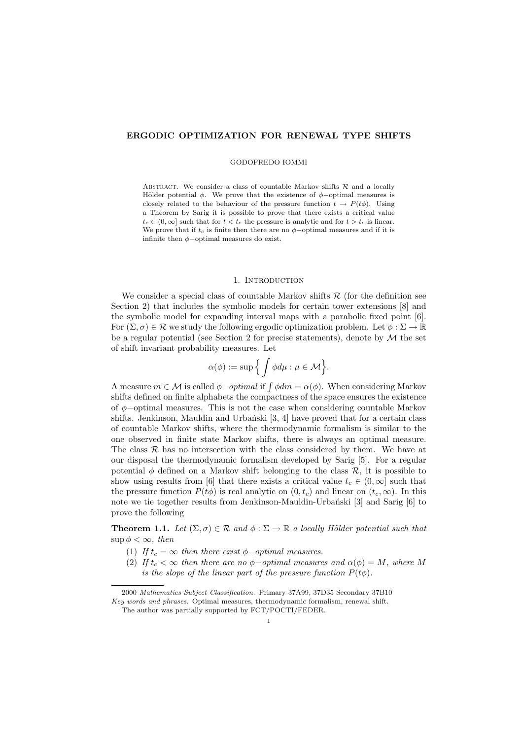# ERGODIC OPTIMIZATION FOR RENEWAL TYPE SHIFTS

#### GODOFREDO IOMMI

ABSTRACT. We consider a class of countable Markov shifts  $R$  and a locally Hölder potential  $\phi$ . We prove that the existence of  $\phi$ -optimal measures is closely related to the behaviour of the pressure function  $t \to P(t\phi)$ . Using a Theorem by Sarig it is possible to prove that there exists a critical value  $t_c \in (0,\infty]$  such that for  $t < t_c$  the pressure is analytic and for  $t > t_c$  is linear. We prove that if  $t_c$  is finite then there are no  $\phi$ -optimal measures and if it is infinite then  $\phi$ -optimal measures do exist.

#### 1. INTRODUCTION

We consider a special class of countable Markov shifts  $R$  (for the definition see Section 2) that includes the symbolic models for certain tower extensions [8] and the symbolic model for expanding interval maps with a parabolic fixed point [6]. For  $(\Sigma, \sigma) \in \mathcal{R}$  we study the following ergodic optimization problem. Let  $\phi : \Sigma \to \mathbb{R}$ be a regular potential (see Section 2 for precise statements), denote by  $M$  the set of shift invariant probability measures. Let

$$
\alpha(\phi):=\sup\Big\{\int\phi d\mu: \mu\in\mathcal{M}\Big\}.
$$

A measure  $m \in \mathcal{M}$  is called  $\phi$ -optimal if  $\int \phi dm = \alpha(\phi)$ . When considering Markov shifts defined on finite alphabets the compactness of the space ensures the existence of  $\phi$ -optimal measures. This is not the case when considering countable Markov shifts. Jenkinson, Mauldin and Urbański  $[3, 4]$  have proved that for a certain class of countable Markov shifts, where the thermodynamic formalism is similar to the one observed in finite state Markov shifts, there is always an optimal measure. The class  $R$  has no intersection with the class considered by them. We have at our disposal the thermodynamic formalism developed by Sarig [5]. For a regular potential  $\phi$  defined on a Markov shift belonging to the class  $\mathcal{R}$ , it is possible to show using results from [6] that there exists a critical value  $t_c \in (0,\infty]$  such that the pressure function  $P(t\phi)$  is real analytic on  $(0, t_c)$  and linear on  $(t_c, \infty)$ . In this note we tie together results from Jenkinson-Mauldin-Urbanski [3] and Sarig [6] to prove the following

**Theorem 1.1.** Let  $(\Sigma, \sigma) \in \mathcal{R}$  and  $\phi : \Sigma \to \mathbb{R}$  a locally Hölder potential such that  $\sup \phi < \infty$ , then

- (1) If  $t_c = \infty$  then there exist  $\phi$ -optimal measures.
- (2) If  $t_c < \infty$  then there are no  $\phi$ -optimal measures and  $\alpha(\phi) = M$ , where M is the slope of the linear part of the pressure function  $P(t\phi)$ .

<sup>2000</sup> Mathematics Subject Classification. Primary 37A99, 37D35 Secondary 37B10

Key words and phrases. Optimal measures, thermodynamic formalism, renewal shift.

The author was partially supported by FCT/POCTI/FEDER.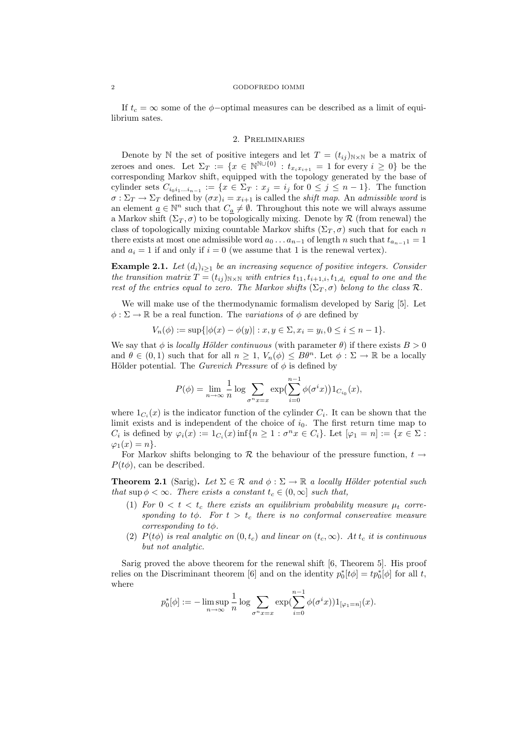### 2 GODOFREDO IOMMI

If  $t_c = \infty$  some of the  $\phi$ -optimal measures can be described as a limit of equilibrium sates.

## 2. Preliminaries

Denote by N the set of positive integers and let  $T = (t_{ij})_{N \times N}$  be a matrix of zeroes and ones. Let  $\Sigma_T := \{x \in \mathbb{N}^{\mathbb{N} \cup \{0\}} : t_{x_ix_{i+1}} = 1 \text{ for every } i \geq 0\}$  be the corresponding Markov shift, equipped with the topology generated by the base of cylinder sets  $C_{i_0i_1...i_{n-1}} := \{x \in \Sigma_T : x_j = i_j \text{ for } 0 \leq j \leq n-1\}.$  The function  $\sigma : \Sigma_T \to \Sigma_T$  defined by  $(\sigma x)_i = x_{i+1}$  is called the *shift map*. An *admissible word* is an element  $\underline{a} \in \mathbb{N}^n$  such that  $C_{\underline{a}} \neq \emptyset$ . Throughout this note we will always assume a Markov shift  $(\Sigma_T, \sigma)$  to be topologically mixing. Denote by R (from renewal) the class of topologically mixing countable Markov shifts  $(\Sigma_T, \sigma)$  such that for each n there exists at most one admissible word  $a_0 \dots a_{n-1}$  of length n such that  $t_{a_{n-1}} = 1$ and  $a_i = 1$  if and only if  $i = 0$  (we assume that 1 is the renewal vertex).

**Example 2.1.** Let  $(d_i)_{i>1}$  be an increasing sequence of positive integers. Consider the transition matrix  $T = (t_{ij})_{N \times N}$  with entries  $t_{11}, t_{i+1,i}, t_{1,d_i}$  equal to one and the rest of the entries equal to zero. The Markov shifts ( $\Sigma_T$ ,  $\sigma$ ) belong to the class R.

We will make use of the thermodynamic formalism developed by Sarig [5]. Let  $\phi : \Sigma \to \mathbb{R}$  be a real function. The variations of  $\phi$  are defined by

$$
V_n(\phi) := \sup\{|\phi(x) - \phi(y)| : x, y \in \Sigma, x_i = y_i, 0 \le i \le n - 1\}.
$$

We say that  $\phi$  is *locally Hölder continuous* (with parameter  $\theta$ ) if there exists  $B > 0$ and  $\theta \in (0,1)$  such that for all  $n \geq 1$ ,  $V_n(\phi) \leq B\theta^n$ . Let  $\phi : \Sigma \to \mathbb{R}$  be a locally Hölder potential. The *Gurevich Pressure* of  $\phi$  is defined by

$$
P(\phi) = \lim_{n \to \infty} \frac{1}{n} \log \sum_{\sigma^n x = x} \exp \left( \sum_{i=0}^{n-1} \phi(\sigma^i x) \right) 1_{C_{i_0}}(x),
$$

where  $1_{C_i}(x)$  is the indicator function of the cylinder  $C_i$ . It can be shown that the limit exists and is independent of the choice of  $i_0$ . The first return time map to  $C_i$  is defined by  $\varphi_i(x) := 1_{C_i}(x) \inf\{n \geq 1 : \sigma^n x \in C_i\}$ . Let  $[\varphi_1 = n] := \{x \in \Sigma :$  $\varphi_1(x) = n$ .

For Markov shifts belonging to R the behaviour of the pressure function,  $t \rightarrow$  $P(t\phi)$ , can be described.

**Theorem 2.1** (Sarig). Let  $\Sigma \in \mathcal{R}$  and  $\phi : \Sigma \to \mathbb{R}$  a locally Hölder potential such that sup  $\phi < \infty$ . There exists a constant  $t_c \in (0,\infty]$  such that,

- (1) For  $0 < t < t_c$  there exists an equilibrium probability measure  $\mu_t$  corresponding to t $\phi$ . For  $t > t_c$  there is no conformal conservative measure corresponding to  $t\phi$ .
- (2)  $P(t\phi)$  is real analytic on  $(0, t_c)$  and linear on  $(t_c, \infty)$ . At  $t_c$  it is continuous but not analytic.

Sarig proved the above theorem for the renewal shift [6, Theorem 5]. His proof relies on the Discriminant theorem [6] and on the identity  $p_0^*[t\phi] = tp_0^*[\phi]$  for all t, where

$$
p_0^*[\phi] := -\limsup_{n \to \infty} \frac{1}{n} \log \sum_{\sigma^n x = x} \exp(\sum_{i=0}^{n-1} \phi(\sigma^i x)) 1_{[\varphi_1 = n]}(x).
$$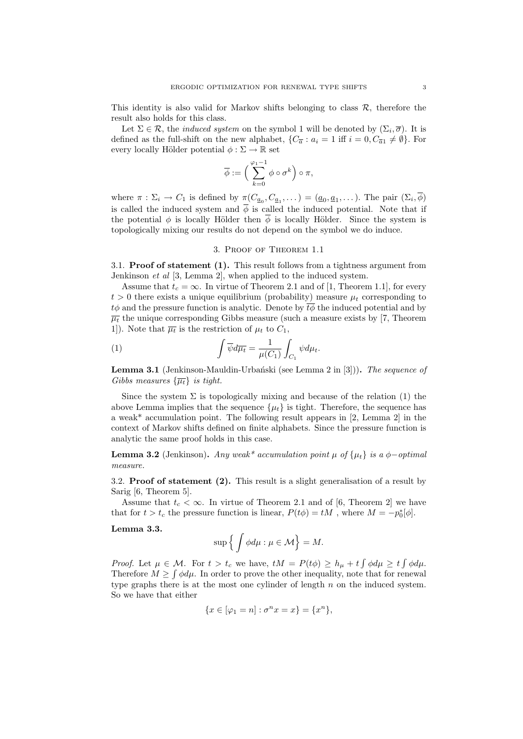This identity is also valid for Markov shifts belonging to class  $\mathcal{R}$ , therefore the result also holds for this class.

Let  $\Sigma \in \mathcal{R}$ , the *induced system* on the symbol 1 will be denoted by  $(\Sigma_i, \overline{\sigma})$ . It is defined as the full-shift on the new alphabet,  $\{C_{\overline{a}} : a_i = 1 \text{ iff } i = 0, C_{\overline{a}1} \neq \emptyset\}$ . For every locally Hölder potential  $\phi : \Sigma \to \mathbb{R}$  set

$$
\overline{\phi} := \left(\sum_{k=0}^{\varphi_1 - 1} \phi \circ \sigma^k\right) \circ \pi,
$$

where  $\pi : \Sigma_i \to C_1$  is defined by  $\pi(C_{\underline{a}_0}, C_{\underline{a}_1}, \dots) = (\underline{a}_0, \underline{a}_1, \dots)$ . The pair  $(\Sigma_i, \phi)$ is called the induced system and  $\overline{\phi}$  is called the induced potential. Note that if the potential  $\phi$  is locally Hölder then  $\overline{\phi}$  is locally Hölder. Since the system is topologically mixing our results do not depend on the symbol we do induce.

## 3. Proof of Theorem 1.1

3.1. Proof of statement (1). This result follows from a tightness argument from Jenkinson et al [3, Lemma 2], when applied to the induced system.

Assume that  $t_c = \infty$ . In virtue of Theorem 2.1 and of [1, Theorem 1.1], for every  $t > 0$  there exists a unique equilibrium (probability) measure  $\mu_t$  corresponding to  $t\phi$  and the pressure function is analytic. Denote by  $\overline{t}\phi$  the induced potential and by  $\overline{\mu_t}$  the unique corresponding Gibbs measure (such a measure exists by [7, Theorem 1. Note that  $\overline{\mu_t}$  is the restriction of  $\mu_t$  to  $C_1$ ,

(1) 
$$
\int \overline{\psi} d\overline{\mu_t} = \frac{1}{\mu(C_1)} \int_{C_1} \psi d\mu_t.
$$

**Lemma 3.1** (Jenkinson-Mauldin-Urbański (see Lemma 2 in  $[3]$ )). The sequence of Gibbs measures  $\{\overline{\mu_t}\}\$ is tight.

Since the system  $\Sigma$  is topologically mixing and because of the relation (1) the above Lemma implies that the sequence  $\{\mu_t\}$  is tight. Therefore, the sequence has a weak\* accumulation point. The following result appears in [2, Lemma 2] in the context of Markov shifts defined on finite alphabets. Since the pressure function is analytic the same proof holds in this case.

**Lemma 3.2** (Jenkinson). Any weak<sup>\*</sup> accumulation point  $\mu$  of  $\{\mu_t\}$  is a  $\phi$ -optimal measure.

3.2. Proof of statement (2). This result is a slight generalisation of a result by Sarig [6, Theorem 5].

Assume that  $t_c < \infty$ . In virtue of Theorem 2.1 and of [6, Theorem 2] we have that for  $t > t_c$  the pressure function is linear,  $P(t\phi) = tM$ , where  $M = -p_0^*[\phi]$ .

Lemma 3.3.

$$
\sup\Big\{\int\phi d\mu:\mu\in\mathcal{M}\Big\}=M.
$$

*Proof.* Let  $\mu \in \mathcal{M}$ . For  $t > t_c$  we have,  $tM = P(t\phi) \ge h_{\mu} + t \int \phi d\mu \ge t \int \phi d\mu$ . Therefore  $M \geq \int \phi d\mu$ . In order to prove the other inequality, note that for renewal type graphs there is at the most one cylinder of length  $n$  on the induced system. So we have that either

$$
\{x \in [\varphi_1 = n] : \sigma^n x = x\} = \{x^n\},\
$$